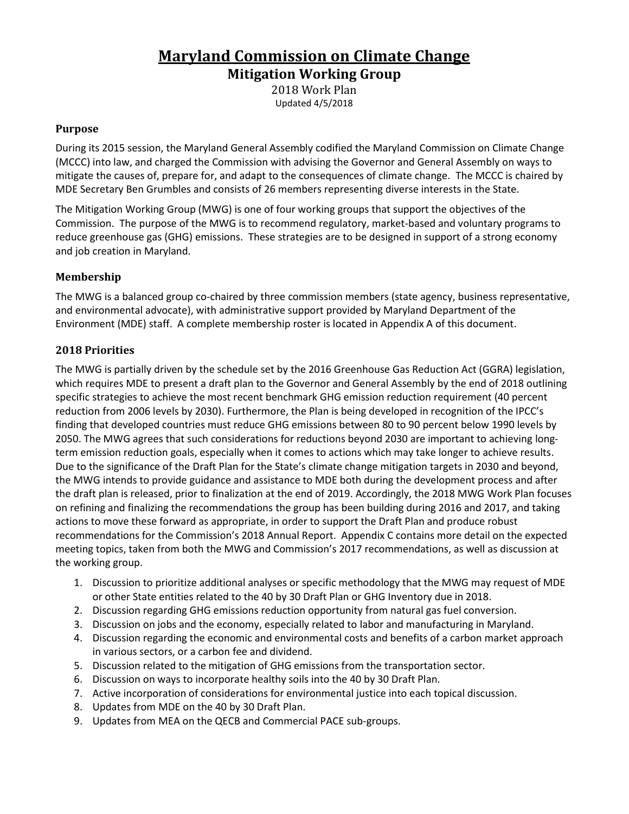# **Maryland Commission on Climate Change**

**Mitigation Working Group**

2018 Work Plan Updated 4/5/2018

#### **Purpose**

During its 2015 session, the Maryland General Assembly codified the Maryland Commission on Climate Change (MCCC) into law, and charged the Commission with advising the Governor and General Assembly on ways to mitigate the causes of, prepare for, and adapt to the consequences of climate change. The MCCC is chaired by MDE Secretary Ben Grumbles and consists of 26 members representing diverse interests in the State.

The Mitigation Working Group (MWG) is one of four working groups that support the objectives of the Commission. The purpose of the MWG is to recommend regulatory, market-based and voluntary programs to reduce greenhouse gas (GHG) emissions. These strategies are to be designed in support of a strong economy and job creation in Maryland.

## **Membership**

The MWG is a balanced group co-chaired by three commission members (state agency, business representative, and environmental advocate), with administrative support provided by Maryland Department of the Environment (MDE) staff. A complete membership roster is located in Appendix A of this document.

### **2018 Priorities**

The MWG is partially driven by the schedule set by the 2016 Greenhouse Gas Reduction Act (GGRA) legislation, which requires MDE to present a draft plan to the Governor and General Assembly by the end of 2018 outlining specific strategies to achieve the most recent benchmark GHG emission reduction requirement (40 percent reduction from 2006 levels by 2030). Furthermore, the Plan is being developed in recognition of the IPCC's finding that developed countries must reduce GHG emissions between 80 to 90 percent below 1990 levels by 2050. The MWG agrees that such considerations for reductions beyond 2030 are important to achieving longterm emission reduction goals, especially when it comes to actions which may take longer to achieve results. Due to the significance of the Draft Plan for the State's climate change mitigation targets in 2030 and beyond, the MWG intends to provide guidance and assistance to MDE both during the development process and after the draft plan is released, prior to finalization at the end of 2019. Accordingly, the 2018 MWG Work Plan focuses on refining and finalizing the recommendations the group has been building during 2016 and 2017, and taking actions to move these forward as appropriate, in order to support the Draft Plan and produce robust recommendations for the Commission's 2018 Annual Report. Appendix C contains more detail on the expected meeting topics, taken from both the MWG and Commission's 2017 recommendations, as well as discussion at the working group.

- 1. Discussion to prioritize additional analyses or specific methodology that the MWG may request of MDE or other State entities related to the 40 by 30 Draft Plan or GHG Inventory due in 2018.
- 2. Discussion regarding GHG emissions reduction opportunity from natural gas fuel conversion.
- 3. Discussion on jobs and the economy, especially related to labor and manufacturing in Maryland.
- 4. Discussion regarding the economic and environmental costs and benefits of a carbon market approach in various sectors, or a carbon fee and dividend.
- 5. Discussion related to the mitigation of GHG emissions from the transportation sector.
- 6. Discussion on ways to incorporate healthy soils into the 40 by 30 Draft Plan.
- 7. Active incorporation of considerations for environmental justice into each topical discussion.
- 8. Updates from MDE on the 40 by 30 Draft Plan.
- 9. Updates from MEA on the QECB and Commercial PACE sub-groups.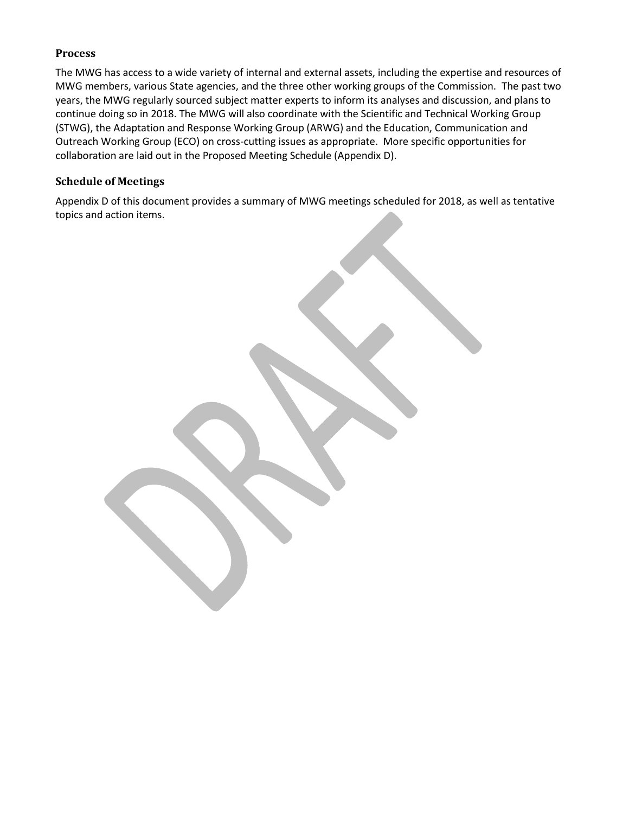## **Process**

The MWG has access to a wide variety of internal and external assets, including the expertise and resources of MWG members, various State agencies, and the three other working groups of the Commission. The past two years, the MWG regularly sourced subject matter experts to inform its analyses and discussion, and plans to continue doing so in 2018. The MWG will also coordinate with the Scientific and Technical Working Group (STWG), the Adaptation and Response Working Group (ARWG) and the Education, Communication and Outreach Working Group (ECO) on cross-cutting issues as appropriate. More specific opportunities for collaboration are laid out in the Proposed Meeting Schedule (Appendix D).

## **Schedule of Meetings**

Appendix D of this document provides a summary of MWG meetings scheduled for 2018, as well as tentative topics and action items.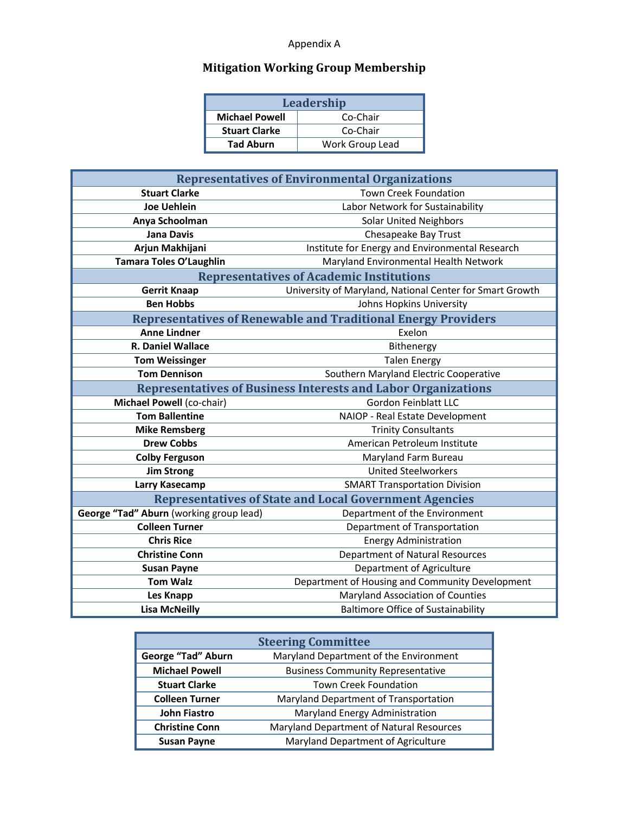# Appendix A

# **Mitigation Working Group Membership**

| Leadership            |                 |  |  |  |
|-----------------------|-----------------|--|--|--|
| <b>Michael Powell</b> | Co-Chair        |  |  |  |
| <b>Stuart Clarke</b>  | Co-Chair        |  |  |  |
| <b>Tad Aburn</b>      | Work Group Lead |  |  |  |

| <b>Representatives of Environmental Organizations</b>                |                                                          |  |  |  |  |  |  |  |
|----------------------------------------------------------------------|----------------------------------------------------------|--|--|--|--|--|--|--|
| <b>Stuart Clarke</b>                                                 | Town Creek Foundation                                    |  |  |  |  |  |  |  |
| <b>Joe Uehlein</b>                                                   | Labor Network for Sustainability                         |  |  |  |  |  |  |  |
| Anya Schoolman                                                       | <b>Solar United Neighbors</b>                            |  |  |  |  |  |  |  |
| <b>Jana Davis</b>                                                    | Chesapeake Bay Trust                                     |  |  |  |  |  |  |  |
| Arjun Makhijani                                                      | Institute for Energy and Environmental Research          |  |  |  |  |  |  |  |
| Tamara Toles O'Laughlin                                              | Maryland Environmental Health Network                    |  |  |  |  |  |  |  |
| <b>Representatives of Academic Institutions</b>                      |                                                          |  |  |  |  |  |  |  |
| <b>Gerrit Knaap</b>                                                  | University of Maryland, National Center for Smart Growth |  |  |  |  |  |  |  |
| <b>Ben Hobbs</b>                                                     | Johns Hopkins University                                 |  |  |  |  |  |  |  |
| <b>Representatives of Renewable and Traditional Energy Providers</b> |                                                          |  |  |  |  |  |  |  |
| <b>Anne Lindner</b>                                                  | Exelon                                                   |  |  |  |  |  |  |  |
| <b>R. Daniel Wallace</b>                                             | Bithenergy                                               |  |  |  |  |  |  |  |
| <b>Tom Weissinger</b>                                                | <b>Talen Energy</b>                                      |  |  |  |  |  |  |  |
| <b>Tom Dennison</b>                                                  | Southern Maryland Electric Cooperative                   |  |  |  |  |  |  |  |
| <b>Representatives of Business Interests and Labor Organizations</b> |                                                          |  |  |  |  |  |  |  |
| Michael Powell (co-chair)                                            | <b>Gordon Feinblatt LLC</b>                              |  |  |  |  |  |  |  |
| <b>Tom Ballentine</b>                                                | NAIOP - Real Estate Development                          |  |  |  |  |  |  |  |
| <b>Mike Remsberg</b>                                                 | <b>Trinity Consultants</b>                               |  |  |  |  |  |  |  |
| <b>Drew Cobbs</b>                                                    | American Petroleum Institute                             |  |  |  |  |  |  |  |
| <b>Colby Ferguson</b>                                                | Maryland Farm Bureau                                     |  |  |  |  |  |  |  |
| <b>Jim Strong</b>                                                    | <b>United Steelworkers</b>                               |  |  |  |  |  |  |  |
| Larry Kasecamp                                                       | <b>SMART Transportation Division</b>                     |  |  |  |  |  |  |  |
| <b>Representatives of State and Local Government Agencies</b>        |                                                          |  |  |  |  |  |  |  |
| George "Tad" Aburn (working group lead)                              | Department of the Environment                            |  |  |  |  |  |  |  |
| <b>Colleen Turner</b>                                                | Department of Transportation                             |  |  |  |  |  |  |  |
| <b>Chris Rice</b>                                                    | <b>Energy Administration</b>                             |  |  |  |  |  |  |  |
| <b>Christine Conn</b>                                                | <b>Department of Natural Resources</b>                   |  |  |  |  |  |  |  |
| <b>Susan Payne</b>                                                   | Department of Agriculture                                |  |  |  |  |  |  |  |
| <b>Tom Walz</b>                                                      | Department of Housing and Community Development          |  |  |  |  |  |  |  |
| Les Knapp                                                            | Maryland Association of Counties                         |  |  |  |  |  |  |  |
| <b>Lisa McNeilly</b>                                                 | <b>Baltimore Office of Sustainability</b>                |  |  |  |  |  |  |  |

| <b>Steering Committee</b> |                                          |  |  |  |  |
|---------------------------|------------------------------------------|--|--|--|--|
| George "Tad" Aburn        | Maryland Department of the Environment   |  |  |  |  |
| <b>Michael Powell</b>     | <b>Business Community Representative</b> |  |  |  |  |
| <b>Stuart Clarke</b>      | <b>Town Creek Foundation</b>             |  |  |  |  |
| <b>Colleen Turner</b>     | Maryland Department of Transportation    |  |  |  |  |
| <b>John Fiastro</b>       | Maryland Energy Administration           |  |  |  |  |
| <b>Christine Conn</b>     | Maryland Department of Natural Resources |  |  |  |  |
| <b>Susan Payne</b>        | Maryland Department of Agriculture       |  |  |  |  |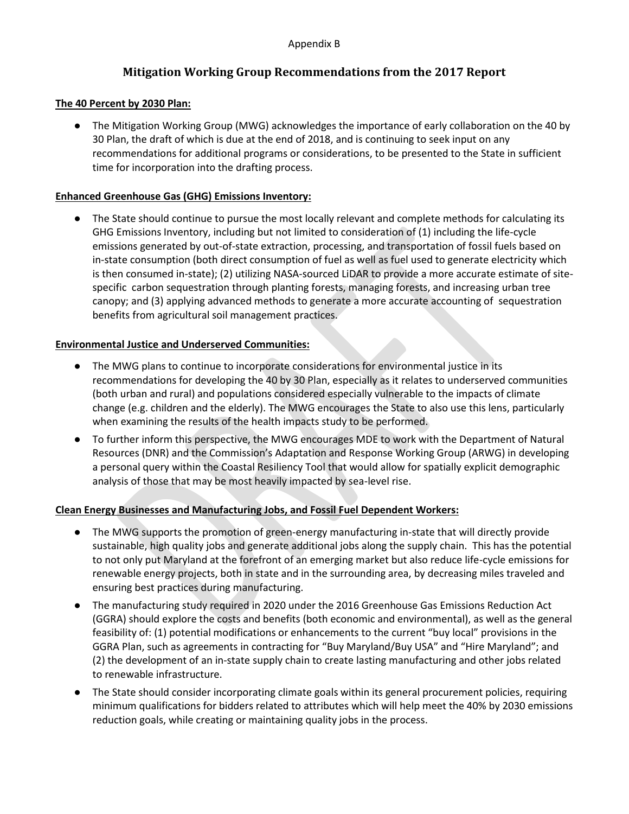## **Mitigation Working Group Recommendations from the 2017 Report**

#### **The 40 Percent by 2030 Plan:**

● The Mitigation Working Group (MWG) acknowledges the importance of early collaboration on the 40 by 30 Plan, the draft of which is due at the end of 2018, and is continuing to seek input on any recommendations for additional programs or considerations, to be presented to the State in sufficient time for incorporation into the drafting process.

#### **Enhanced Greenhouse Gas (GHG) Emissions Inventory:**

● The State should continue to pursue the most locally relevant and complete methods for calculating its GHG Emissions Inventory, including but not limited to consideration of (1) including the life-cycle emissions generated by out-of-state extraction, processing, and transportation of fossil fuels based on in-state consumption (both direct consumption of fuel as well as fuel used to generate electricity which is then consumed in-state); (2) utilizing NASA-sourced LiDAR to provide a more accurate estimate of sitespecific carbon sequestration through planting forests, managing forests, and increasing urban tree canopy; and (3) applying advanced methods to generate a more accurate accounting of sequestration benefits from agricultural soil management practices.

#### **Environmental Justice and Underserved Communities:**

- The MWG plans to continue to incorporate considerations for environmental justice in its recommendations for developing the 40 by 30 Plan, especially as it relates to underserved communities (both urban and rural) and populations considered especially vulnerable to the impacts of climate change (e.g. children and the elderly). The MWG encourages the State to also use this lens, particularly when examining the results of the health impacts study to be performed.
- To further inform this perspective, the MWG encourages MDE to work with the Department of Natural Resources (DNR) and the Commission's Adaptation and Response Working Group (ARWG) in developing a personal query within the Coastal Resiliency Tool that would allow for spatially explicit demographic analysis of those that may be most heavily impacted by sea-level rise.

### **Clean Energy Businesses and Manufacturing Jobs, and Fossil Fuel Dependent Workers:**

- The MWG supports the promotion of green-energy manufacturing in-state that will directly provide sustainable, high quality jobs and generate additional jobs along the supply chain. This has the potential to not only put Maryland at the forefront of an emerging market but also reduce life-cycle emissions for renewable energy projects, both in state and in the surrounding area, by decreasing miles traveled and ensuring best practices during manufacturing.
- The manufacturing study required in 2020 under the 2016 Greenhouse Gas Emissions Reduction Act (GGRA) should explore the costs and benefits (both economic and environmental), as well as the general feasibility of: (1) potential modifications or enhancements to the current "buy local" provisions in the GGRA Plan, such as agreements in contracting for "Buy Maryland/Buy USA" and "Hire Maryland"; and (2) the development of an in-state supply chain to create lasting manufacturing and other jobs related to renewable infrastructure.
- The State should consider incorporating climate goals within its general procurement policies, requiring minimum qualifications for bidders related to attributes which will help meet the 40% by 2030 emissions reduction goals, while creating or maintaining quality jobs in the process.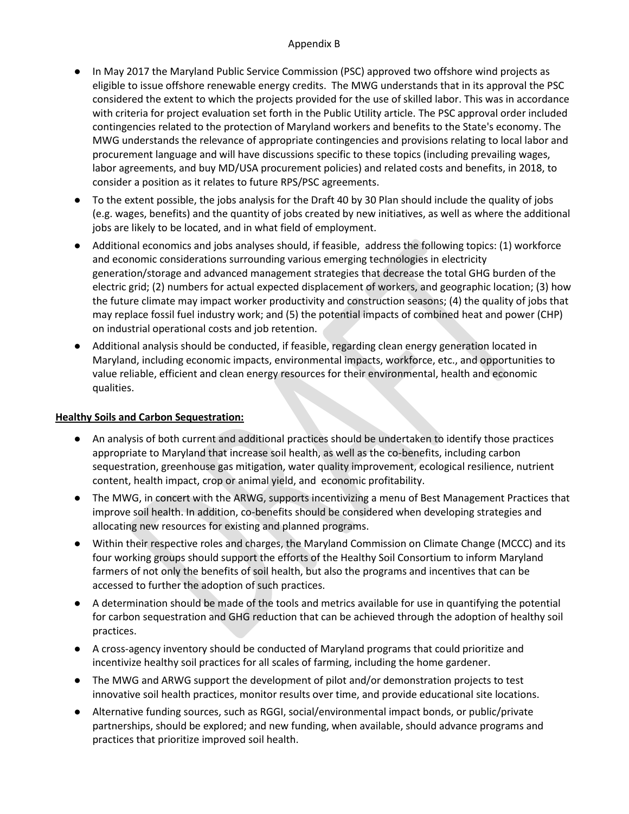#### Appendix B

- In May 2017 the Maryland Public Service Commission (PSC) approved two offshore wind projects as eligible to issue offshore renewable energy credits. The MWG understands that in its approval the PSC considered the extent to which the projects provided for the use of skilled labor. This was in accordance with criteria for project evaluation set forth in the Public Utility article. The PSC approval order included contingencies related to the protection of Maryland workers and benefits to the State's economy. The MWG understands the relevance of appropriate contingencies and provisions relating to local labor and procurement language and will have discussions specific to these topics (including prevailing wages, labor agreements, and buy MD/USA procurement policies) and related costs and benefits, in 2018, to consider a position as it relates to future RPS/PSC agreements.
- To the extent possible, the jobs analysis for the Draft 40 by 30 Plan should include the quality of jobs (e.g. wages, benefits) and the quantity of jobs created by new initiatives, as well as where the additional jobs are likely to be located, and in what field of employment.
- Additional economics and jobs analyses should, if feasible, address the following topics: (1) workforce and economic considerations surrounding various emerging technologies in electricity generation/storage and advanced management strategies that decrease the total GHG burden of the electric grid; (2) numbers for actual expected displacement of workers, and geographic location; (3) how the future climate may impact worker productivity and construction seasons; (4) the quality of jobs that may replace fossil fuel industry work; and (5) the potential impacts of combined heat and power (CHP) on industrial operational costs and job retention.
- Additional analysis should be conducted, if feasible, regarding clean energy generation located in Maryland, including economic impacts, environmental impacts, workforce, etc., and opportunities to value reliable, efficient and clean energy resources for their environmental, health and economic qualities.

### **Healthy Soils and Carbon Sequestration:**

- An analysis of both current and additional practices should be undertaken to identify those practices appropriate to Maryland that increase soil health, as well as the co-benefits, including carbon sequestration, greenhouse gas mitigation, water quality improvement, ecological resilience, nutrient content, health impact, crop or animal yield, and economic profitability.
- The MWG, in concert with the ARWG, supports incentivizing a menu of Best Management Practices that improve soil health. In addition, co-benefits should be considered when developing strategies and allocating new resources for existing and planned programs.
- Within their respective roles and charges, the Maryland Commission on Climate Change (MCCC) and its four working groups should support the efforts of the Healthy Soil Consortium to inform Maryland farmers of not only the benefits of soil health, but also the programs and incentives that can be accessed to further the adoption of such practices.
- A determination should be made of the tools and metrics available for use in quantifying the potential for carbon sequestration and GHG reduction that can be achieved through the adoption of healthy soil practices.
- A cross-agency inventory should be conducted of Maryland programs that could prioritize and incentivize healthy soil practices for all scales of farming, including the home gardener.
- The MWG and ARWG support the development of pilot and/or demonstration projects to test innovative soil health practices, monitor results over time, and provide educational site locations.
- Alternative funding sources, such as RGGI, social/environmental impact bonds, or public/private partnerships, should be explored; and new funding, when available, should advance programs and practices that prioritize improved soil health.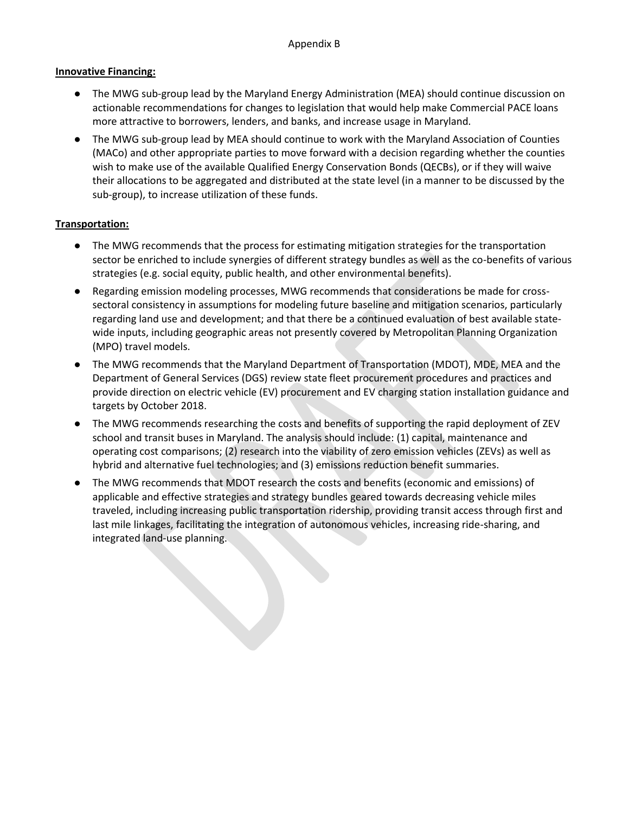#### **Innovative Financing:**

- The MWG sub-group lead by the Maryland Energy Administration (MEA) should continue discussion on actionable recommendations for changes to legislation that would help make Commercial PACE loans more attractive to borrowers, lenders, and banks, and increase usage in Maryland.
- The MWG sub-group lead by MEA should continue to work with the Maryland Association of Counties (MACo) and other appropriate parties to move forward with a decision regarding whether the counties wish to make use of the available Qualified Energy Conservation Bonds (QECBs), or if they will waive their allocations to be aggregated and distributed at the state level (in a manner to be discussed by the sub-group), to increase utilization of these funds.

### **Transportation:**

- The MWG recommends that the process for estimating mitigation strategies for the transportation sector be enriched to include synergies of different strategy bundles as well as the co-benefits of various strategies (e.g. social equity, public health, and other environmental benefits).
- Regarding emission modeling processes, MWG recommends that considerations be made for crosssectoral consistency in assumptions for modeling future baseline and mitigation scenarios, particularly regarding land use and development; and that there be a continued evaluation of best available statewide inputs, including geographic areas not presently covered by Metropolitan Planning Organization (MPO) travel models.
- The MWG recommends that the Maryland Department of Transportation (MDOT), MDE, MEA and the Department of General Services (DGS) review state fleet procurement procedures and practices and provide direction on electric vehicle (EV) procurement and EV charging station installation guidance and targets by October 2018.
- The MWG recommends researching the costs and benefits of supporting the rapid deployment of ZEV school and transit buses in Maryland. The analysis should include: (1) capital, maintenance and operating cost comparisons; (2) research into the viability of zero emission vehicles (ZEVs) as well as hybrid and alternative fuel technologies; and (3) emissions reduction benefit summaries.
- The MWG recommends that MDOT research the costs and benefits (economic and emissions) of applicable and effective strategies and strategy bundles geared towards decreasing vehicle miles traveled, including increasing public transportation ridership, providing transit access through first and last mile linkages, facilitating the integration of autonomous vehicles, increasing ride-sharing, and integrated land-use planning.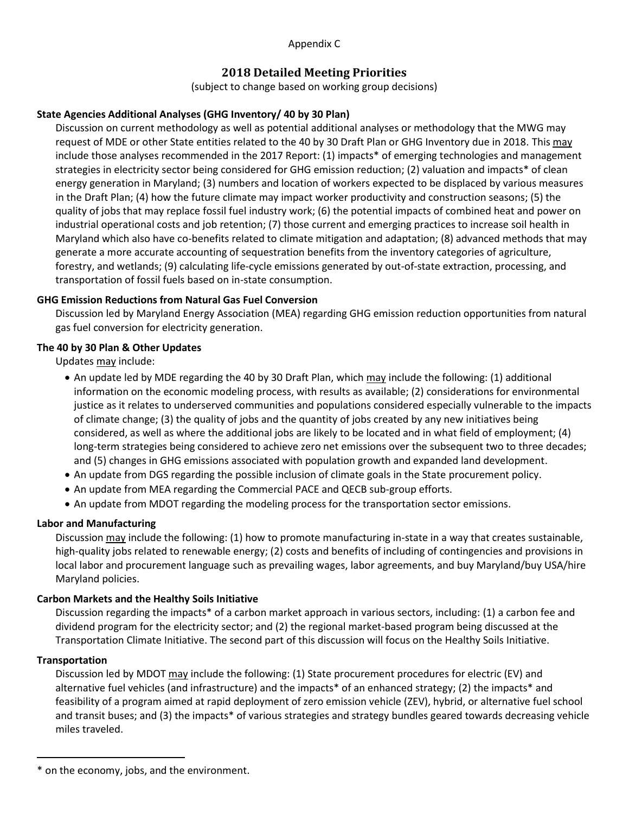Appendix C

## **2018 Detailed Meeting Priorities**

(subject to change based on working group decisions)

## **State Agencies Additional Analyses (GHG Inventory/ 40 by 30 Plan)**

Discussion on current methodology as well as potential additional analyses or methodology that the MWG may request of MDE or other State entities related to the 40 by 30 Draft Plan or GHG Inventory due in 2018. This may include those analyses recommended in the 2017 Report: (1) impacts\* of emerging technologies and management strategies in electricity sector being considered for GHG emission reduction; (2) valuation and impacts\* of clean energy generation in Maryland; (3) numbers and location of workers expected to be displaced by various measures in the Draft Plan; (4) how the future climate may impact worker productivity and construction seasons; (5) the quality of jobs that may replace fossil fuel industry work; (6) the potential impacts of combined heat and power on industrial operational costs and job retention; (7) those current and emerging practices to increase soil health in Maryland which also have co-benefits related to climate mitigation and adaptation; (8) advanced methods that may generate a more accurate accounting of sequestration benefits from the inventory categories of agriculture, forestry, and wetlands; (9) calculating life-cycle emissions generated by out-of-state extraction, processing, and transportation of fossil fuels based on in-state consumption.

### **GHG Emission Reductions from Natural Gas Fuel Conversion**

Discussion led by Maryland Energy Association (MEA) regarding GHG emission reduction opportunities from natural gas fuel conversion for electricity generation.

## **The 40 by 30 Plan & Other Updates**

Updates may include:

- An update led by MDE regarding the 40 by 30 Draft Plan, which may include the following: (1) additional information on the economic modeling process, with results as available; (2) considerations for environmental justice as it relates to underserved communities and populations considered especially vulnerable to the impacts of climate change; (3) the quality of jobs and the quantity of jobs created by any new initiatives being considered, as well as where the additional jobs are likely to be located and in what field of employment; (4) long-term strategies being considered to achieve zero net emissions over the subsequent two to three decades; and (5) changes in GHG emissions associated with population growth and expanded land development.
- An update from DGS regarding the possible inclusion of climate goals in the State procurement policy.
- An update from MEA regarding the Commercial PACE and QECB sub-group efforts.
- An update from MDOT regarding the modeling process for the transportation sector emissions.

### **Labor and Manufacturing**

Discussion may include the following: (1) how to promote manufacturing in-state in a way that creates sustainable, high-quality jobs related to renewable energy; (2) costs and benefits of including of contingencies and provisions in local labor and procurement language such as prevailing wages, labor agreements, and buy Maryland/buy USA/hire Maryland policies.

### **Carbon Markets and the Healthy Soils Initiative**

Discussion regarding the impacts\* of a carbon market approach in various sectors, including: (1) a carbon fee and dividend program for the electricity sector; and (2) the regional market-based program being discussed at the Transportation Climate Initiative. The second part of this discussion will focus on the Healthy Soils Initiative.

### **Transportation**

 $\overline{\phantom{a}}$ 

Discussion led by MDOT may include the following: (1) State procurement procedures for electric (EV) and alternative fuel vehicles (and infrastructure) and the impacts\* of an enhanced strategy; (2) the impacts\* and feasibility of a program aimed at rapid deployment of zero emission vehicle (ZEV), hybrid, or alternative fuel school and transit buses; and (3) the impacts\* of various strategies and strategy bundles geared towards decreasing vehicle miles traveled.

<sup>\*</sup> on the economy, jobs, and the environment.